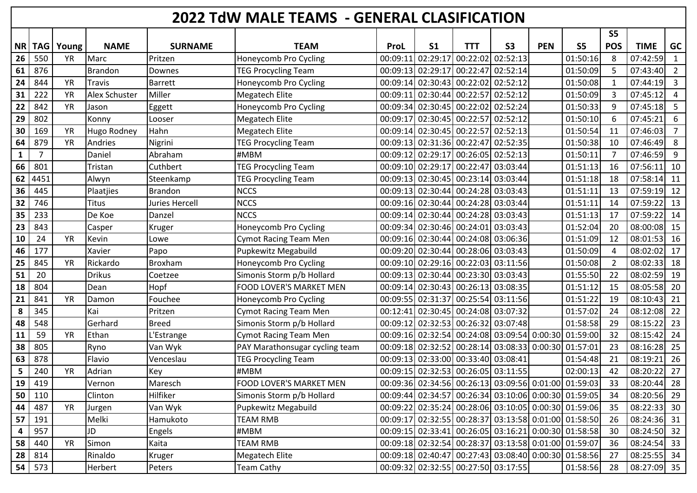| 2022 TdW MALE TEAMS - GENERAL CLASIFICATION |            |           |                |                |                                |                   |                |                                                      |           |            |                |                |               |                |
|---------------------------------------------|------------|-----------|----------------|----------------|--------------------------------|-------------------|----------------|------------------------------------------------------|-----------|------------|----------------|----------------|---------------|----------------|
|                                             |            |           |                |                |                                |                   |                |                                                      |           |            |                | S <sub>5</sub> |               |                |
| <b>NR</b>                                   | <b>TAG</b> | Young     | <b>NAME</b>    | <b>SURNAME</b> | <b>TEAM</b>                    | ProL              | S <sub>1</sub> | <b>TTT</b>                                           | <b>S3</b> | <b>PEN</b> | S <sub>5</sub> | <b>POS</b>     | <b>TIME</b>   | <b>GC</b>      |
| 26                                          | 550        | <b>YR</b> | Marc           | Pritzen        | Honeycomb Pro Cycling          | 00:09:11          | 02:29:17       | 00:22:02 02:52:13                                    |           |            | 01:50:16       | 8              | 07:42:59      | $\mathbf{1}$   |
| 61                                          | 876        |           | <b>Brandon</b> | Downes         | <b>TEG Procycling Team</b>     | 00:09:13 02:29:17 |                | 00:22:47 02:52:14                                    |           |            | 01:50:09       | 5              | 07:43:40      | $\overline{2}$ |
| 24                                          | 844        | <b>YR</b> | <b>Travis</b>  | <b>Barrett</b> | Honeycomb Pro Cycling          |                   |                | 00:09:14 02:30:43 00:22:02 02:52:12                  |           |            | 01:50:08       | $\mathbf{1}$   | 07:44:19      | $\overline{3}$ |
| 31                                          | 222        | <b>YR</b> | Alex Schuster  | Miller         | <b>Megatech Elite</b>          | 00:09:11          |                | 02:30:44 00:22:57 02:52:12                           |           |            | 01:50:09       | 3              | 07:45:12      | 4              |
| 22                                          | 842        | <b>YR</b> | Jason          | Eggett         | Honeycomb Pro Cycling          |                   |                | 00:09:34 02:30:45 00:22:02 02:52:24                  |           |            | 01:50:33       | 9              | 07:45:18      | 5              |
| 29                                          | 802        |           | Konny          | Looser         | <b>Megatech Elite</b>          | 00:09:17          |                | 02:30:45 00:22:57 02:52:12                           |           |            | 01:50:10       | 6              | 07:45:21      | 6              |
| 30                                          | 169        | <b>YR</b> | Hugo Rodney    | Hahn           | <b>Megatech Elite</b>          |                   |                | 00:09:14 02:30:45 00:22:57 02:52:13                  |           |            | 01:50:54       | 11             | 07:46:03      | $\overline{7}$ |
| 64                                          | 879        | <b>YR</b> | Andries        | Nigrini        | <b>TEG Procycling Team</b>     |                   |                | 00:09:13 02:31:36 00:22:47 02:52:35                  |           |            | 01:50:38       | 10             | 07:46:49      | 8              |
| 1                                           | 7          |           | Daniel         | Abraham        | #MBM                           |                   |                | 00:09:12 02:29:17 00:26:05 02:52:13                  |           |            | 01:50:11       | 7              | 07:46:59      | 9              |
| 66                                          | 801        |           | Tristan        | Cuthbert       | <b>TEG Procycling Team</b>     |                   |                | 00:09:10 02:29:17 00:22:47 03:03:44                  |           |            | 01:51:13       | 16             | 07:56:11      | 10             |
| 62                                          | 4451       |           | Alwyn          | Steenkamp      | <b>TEG Procycling Team</b>     |                   |                | 00:09:13 02:30:45 00:23:14 03:03:44                  |           |            | 01:51:18       | 18             | 07:58:14      | 11             |
| 36                                          | 445        |           | Plaatjies      | Brandon        | <b>NCCS</b>                    |                   |                | 00:09:13 02:30:44 00:24:28 03:03:43                  |           |            | 01:51:11       | 13             | 07:59:19      | 12             |
| 32                                          | 746        |           | <b>Titus</b>   | Juries Hercell | <b>NCCS</b>                    |                   |                | 00:09:16 02:30:44 00:24:28 03:03:44                  |           |            | 01:51:11       | 14             | 07:59:22      | 13             |
| 35                                          | 233        |           | De Koe         | Danzel         | <b>NCCS</b>                    | 00:09:14          |                | 02:30:44 00:24:28 03:03:43                           |           |            | 01:51:13       | 17             | 07:59:22      | 14             |
| 23                                          | 843        |           | Casper         | Kruger         | Honeycomb Pro Cycling          |                   |                | 00:09:34 02:30:46 00:24:01 03:03:43                  |           |            | 01:52:04       | 20             | 08:00:08      | 15             |
| 10                                          | 24         | <b>YR</b> | Kevin          | Lowe           | <b>Cymot Racing Team Men</b>   |                   |                | 00:09:16 02:30:44 00:24:08 03:06:36                  |           |            | 01:51:09       | 12             | 08:01:53      | 16             |
| 46                                          | 177        |           | Xavier         | Papo           | Pupkewitz Megabuild            |                   |                | 00:09:20 02:30:44 00:28:06 03:03:43                  |           |            | 01:50:09       | $\overline{4}$ | 08:02:02      | 17             |
| 25                                          | 845        | <b>YR</b> | Rickardo       | <b>Broxham</b> | Honeycomb Pro Cycling          |                   |                | 00:09:10 02:29:16 00:22:03 03:11:56                  |           |            | 01:50:08       | -2             | 08:02:33      | 18             |
| 51                                          | 20         |           | <b>Drikus</b>  | Coetzee        | Simonis Storm p/b Hollard      |                   |                | 00:09:13 02:30:44 00:23:30 03:03:43                  |           |            | 01:55:50       | 22             | 08:02:59      | 19             |
| 18                                          | 804        |           | Dean           | Hopf           | <b>FOOD LOVER'S MARKET MEN</b> |                   |                | 00:09:14 02:30:43 00:26:13 03:08:35                  |           |            | 01:51:12       | 15             | 08:05:58      | 20             |
| 21                                          | 841        | <b>YR</b> | Damon          | Fouchee        | Honeycomb Pro Cycling          | 00:09:55 02:31:37 |                | 00:25:54 03:11:56                                    |           |            | 01:51:22       | 19             | 08:10:43      | 21             |
| 8                                           | 345        |           | Kai            | Pritzen        | <b>Cymot Racing Team Men</b>   |                   |                | 00:12:41 02:30:45 00:24:08 03:07:32                  |           |            | 01:57:02       | 24             | 08:12:08      | 22             |
| 48                                          | 548        |           | Gerhard        | <b>Breed</b>   | Simonis Storm p/b Hollard      |                   |                | 00:09:12 02:32:53 00:26:32 03:07:48                  |           |            | 01:58:58       | 29             | 08:15:22      | 23             |
| 11                                          | 59         | <b>YR</b> | Ethan          | L'Estrange     | <b>Cymot Racing Team Men</b>   |                   |                | 00:09:16 02:32:54 00:24:08 03:09:54 0:00:30 01:59:00 |           |            |                | 32             | 08:15:42      | 24             |
| 38                                          | 805        |           | Ryno           | Van Wyk        | PAY Marathonsugar cycling team |                   |                | 00:09:18 02:32:52 00:28:14 03:08:33 0:00:30 01:57:01 |           |            |                | 23             | 08:16:28      | 25             |
| 63                                          | 878        |           | Flavio         | Venceslau      | <b>TEG Procycling Team</b>     |                   |                | 00:09:13 02:33:00 00:33:40 03:08:41                  |           |            | 01:54:48       | 21             | 08:19:21      | 26             |
| 5                                           | 240        | <b>YR</b> | Adrian         | Key            | #MBM                           |                   |                | 00:09:15 02:32:53 00:26:05 03:11:55                  |           |            | 02:00:13       | 42             | 08:20:22      | 27             |
| 19                                          | 419        |           | Vernon         | Maresch        | <b>FOOD LOVER'S MARKET MEN</b> |                   |                | 00:09:36 02:34:56 00:26:13 03:09:56 0:01:00 01:59:03 |           |            |                | 33             | 08:20:44      | 28             |
| 50                                          | 110        |           | Clinton        | Hilfiker       | Simonis Storm p/b Hollard      |                   |                | 00:09:44 02:34:57 00:26:34 03:10:06 0:00:30 01:59:05 |           |            |                | 34             | 08:20:56      | 29             |
| 44                                          | 487        | <b>YR</b> | Jurgen         | Van Wyk        | Pupkewitz Megabuild            |                   |                | 00:09:22 02:35:24 00:28:06 03:10:05 0:00:30 01:59:06 |           |            |                | 35             | 08:22:33      | 30             |
| 57                                          | 191        |           | Melki          | Hamukoto       | <b>TEAM RMB</b>                |                   |                | 00:09:17 02:32:55 00:28:37 03:13:58 0:01:00 01:58:50 |           |            |                | 26             | 08:24:36 31   |                |
| 4                                           | 957        |           | JD             | Engels         | #MBM                           |                   |                | 00:09:15 02:33:41 00:26:05 03:16:21 0:00:30 01:58:58 |           |            |                | 30             | 08:24:50 32   |                |
| 58                                          | 440        | <b>YR</b> | Simon          | Kaita          | <b>TEAM RMB</b>                |                   |                | 00:09:18 02:32:54 00:28:37 03:13:58 0:01:00 01:59:07 |           |            |                | 36             | 08:24:54      | 33             |
| 28                                          | 814        |           | Rinaldo        | Kruger         | Megatech Elite                 |                   |                | 00:09:18 02:40:47 00:27:43 03:08:40 0:00:30 01:58:56 |           |            |                | 27             | $08:25:55$ 34 |                |
| 54                                          | 573        |           | Herbert        | Peters         | <b>Team Cathy</b>              |                   |                | 00:09:32 02:32:55 00:27:50 03:17:55                  |           |            | 01:58:56       | 28             | $08:27:09$ 35 |                |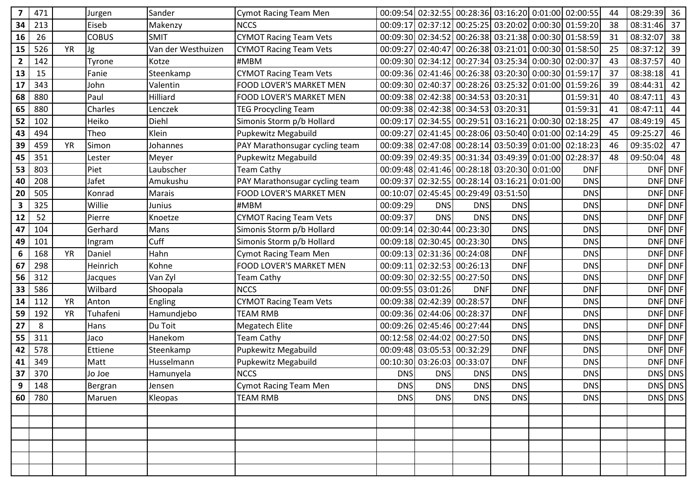| 7            | 471 |           | Jurgen         | Sander             | <b>Cymot Racing Team Men</b>   |            |                            | 00:09:54 02:32:55 00:28:36 03:16:20 0:01:00 02:00:55 |            |            | 44 | 08:29:39 | 36      |
|--------------|-----|-----------|----------------|--------------------|--------------------------------|------------|----------------------------|------------------------------------------------------|------------|------------|----|----------|---------|
| 34           | 213 |           | Eiseb          | Makenzy            | <b>NCCS</b>                    |            |                            | 00:09:17 02:37:12 00:25:25 03:20:02 0:00:30 01:59:20 |            |            | 38 | 08:31:46 | 37      |
| 16           | 26  |           | <b>COBUS</b>   | <b>SMIT</b>        | <b>CYMOT Racing Team Vets</b>  |            |                            | 00:09:30 02:34:52 00:26:38 03:21:38 0:00:30 01:58:59 |            |            | 31 | 08:32:07 | 38      |
| 15           | 526 | <b>YR</b> | Jg             | Van der Westhuizen | <b>CYMOT Racing Team Vets</b>  |            |                            | 00:09:27 02:40:47 00:26:38 03:21:01 0:00:30 01:58:50 |            |            | 25 | 08:37:12 | 39      |
| $\mathbf{2}$ | 142 |           | Tyrone         | Kotze              | #MBM                           |            |                            | 00:09:30 02:34:12 00:27:34 03:25:34 0:00:30 02:00:37 |            |            | 43 | 08:37:57 | 40      |
| 13           | 15  |           | Fanie          | Steenkamp          | <b>CYMOT Racing Team Vets</b>  |            |                            | 00:09:36 02:41:46 00:26:38 03:20:30 0:00:30 01:59:17 |            |            | 37 | 08:38:18 | 41      |
| 17           | 343 |           | John           | Valentin           | <b>FOOD LOVER'S MARKET MEN</b> |            |                            | 00:09:30 02:40:37 00:28:26 03:25:32 0:01:00 01:59:26 |            |            | 39 | 08:44:31 | 42      |
| 68           | 880 |           | Paul           | Hilliard           | <b>FOOD LOVER'S MARKET MEN</b> |            |                            | 00:09:38 02:42:38 00:34:53 03:20:31                  |            | 01:59:31   | 40 | 08:47:11 | 43      |
| 65           | 880 |           | Charles        | Lenczek            | <b>TEG Procycling Team</b>     |            |                            | 00:09:38 02:42:38 00:34:53 03:20:31                  |            | 01:59:31   | 41 | 08:47:11 | 44      |
| 52           | 102 |           | Heiko          | Diehl              | Simonis Storm p/b Hollard      |            |                            | 00:09:17 02:34:55 00:29:51 03:16:21 0:00:30 02:18:25 |            |            | 47 | 08:49:19 | 45      |
| 43           | 494 |           | Theo           | Klein              | Pupkewitz Megabuild            |            |                            | 00:09:27 02:41:45 00:28:06 03:50:40 0:01:00 02:14:29 |            |            | 45 | 09:25:27 | 46      |
| 39           | 459 | <b>YR</b> | Simon          | Johannes           | PAY Marathonsugar cycling team |            |                            | 00:09:38 02:47:08 00:28:14 03:50:39 0:01:00          |            | 02:18:23   | 46 | 09:35:02 | 47      |
| 45           | 351 |           | Lester         | Meyer              | Pupkewitz Megabuild            |            |                            | 00:09:39 02:49:35 00:31:34 03:49:39 0:01:00 02:28:37 |            |            | 48 | 09:50:04 | 48      |
| 53           | 803 |           | Piet           | Laubscher          | <b>Team Cathy</b>              |            |                            | 00:09:48 02:41:46 00:28:18 03:20:30 0:01:00          |            | <b>DNF</b> |    |          | DNF DNF |
| 40           | 208 |           | Jafet          | Amukushu           | PAY Marathonsugar cycling team |            |                            | 00:09:37 02:32:55 00:28:14 03:16:21 0:01:00          |            | <b>DNS</b> |    |          | DNF DNF |
| 20           | 505 |           | Konrad         | <b>Marais</b>      | <b>FOOD LOVER'S MARKET MEN</b> |            |                            | 00:10:07 02:45:45 00:29:49 03:51:50                  |            | <b>DNS</b> |    |          | DNF DNF |
| 3            | 325 |           | Willie         | Junius             | #MBM                           | 00:09:29   | <b>DNS</b>                 | <b>DNS</b>                                           | <b>DNS</b> | <b>DNS</b> |    |          | DNF DNF |
| 12           | 52  |           | Pierre         | Knoetze            | <b>CYMOT Racing Team Vets</b>  | 00:09:37   | <b>DNS</b>                 | <b>DNS</b>                                           | <b>DNS</b> | <b>DNS</b> |    |          | DNF DNF |
| 47           | 104 |           | Gerhard        | Mans               | Simonis Storm p/b Hollard      |            |                            | 00:09:14 02:30:44 00:23:30                           | <b>DNS</b> | <b>DNS</b> |    |          | DNF DNF |
| 49           | 101 |           | Ingram         | Cuff               | Simonis Storm p/b Hollard      |            |                            | 00:09:18 02:30:45 00:23:30                           | <b>DNS</b> | <b>DNS</b> |    |          | DNF DNF |
| 6            | 168 | <b>YR</b> | Daniel         | Hahn               | <b>Cymot Racing Team Men</b>   |            |                            | 00:09:13 02:31:36 00:24:08                           | <b>DNF</b> | <b>DNS</b> |    |          | DNF DNF |
| 67           | 298 |           | Heinrich       | Kohne              | <b>FOOD LOVER'S MARKET MEN</b> | 00:09:11   |                            | $\vert$ 02:32:53 00:26:13                            | <b>DNF</b> | <b>DNS</b> |    |          | DNF DNF |
| 56           | 312 |           | Jacques        | Van Zyl            | <b>Team Cathy</b>              |            |                            | 00:09:30 02:32:55 00:27:50                           | <b>DNS</b> | <b>DNS</b> |    |          | DNF DNF |
| 33           | 586 |           | Wilbard        | Shoopala           | <b>NCCS</b>                    |            | 00:09:55 03:01:26          | <b>DNF</b>                                           | <b>DNF</b> | <b>DNF</b> |    |          | DNF DNF |
| 14           | 112 | <b>YR</b> | Anton          | Engling            | <b>CYMOT Racing Team Vets</b>  |            | 00:09:38 02:42:39 00:28:57 |                                                      | <b>DNF</b> | <b>DNS</b> |    |          | DNF DNF |
| 59           | 192 | <b>YR</b> | Tuhafeni       | Hamundjebo         | <b>TEAM RMB</b>                |            | 00:09:36 02:44:06 00:28:37 |                                                      | <b>DNF</b> | <b>DNS</b> |    |          | DNF DNF |
| 27           | 8   |           | Hans           | Du Toit            | Megatech Elite                 |            | 00:09:26 02:45:46 00:27:44 |                                                      | <b>DNS</b> | <b>DNS</b> |    |          | DNF DNF |
| 55           | 311 |           | Jaco           | Hanekom            | <b>Team Cathy</b>              |            |                            | 00:12:58 02:44:02 00:27:50                           | <b>DNS</b> | <b>DNS</b> |    |          | DNF DNF |
| 42           | 578 |           | Ettiene        | Steenkamp          | Pupkewitz Megabuild            |            | 00:09:48 03:05:53 00:32:29 |                                                      | <b>DNF</b> | <b>DNS</b> |    |          | DNF DNF |
| 41           | 349 |           | Matt           | Husselmann         | Pupkewitz Megabuild            |            | 00:10:30 03:26:03 00:33:07 |                                                      | <b>DNF</b> | <b>DNS</b> |    |          | DNF DNF |
| 37           | 370 |           | Jo Joe         | Hamunyela          | <b>NCCS</b>                    | <b>DNS</b> | <b>DNS</b>                 | <b>DNS</b>                                           | <b>DNS</b> | <b>DNS</b> |    |          | DNS DNS |
| 9            | 148 |           | <b>Bergran</b> | Jensen             | <b>Cymot Racing Team Men</b>   | <b>DNS</b> | <b>DNS</b>                 | <b>DNS</b>                                           | <b>DNS</b> | <b>DNS</b> |    |          | DNS DNS |
| 60           | 780 |           | Maruen         | Kleopas            | <b>TEAM RMB</b>                | <b>DNS</b> | <b>DNS</b>                 | <b>DNS</b>                                           | <b>DNS</b> | <b>DNS</b> |    |          | DNS DNS |
|              |     |           |                |                    |                                |            |                            |                                                      |            |            |    |          |         |
|              |     |           |                |                    |                                |            |                            |                                                      |            |            |    |          |         |
|              |     |           |                |                    |                                |            |                            |                                                      |            |            |    |          |         |
|              |     |           |                |                    |                                |            |                            |                                                      |            |            |    |          |         |
|              |     |           |                |                    |                                |            |                            |                                                      |            |            |    |          |         |
|              |     |           |                |                    |                                |            |                            |                                                      |            |            |    |          |         |